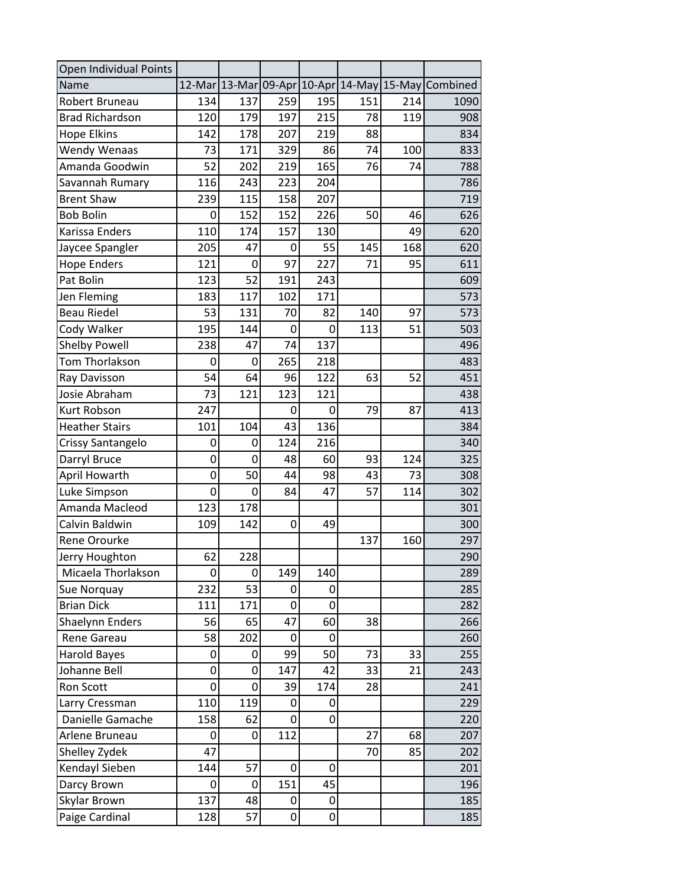| Open Individual Points |     |     |     |     |     |     |                                                    |
|------------------------|-----|-----|-----|-----|-----|-----|----------------------------------------------------|
| Name                   |     |     |     |     |     |     | 12-Mar 13-Mar 09-Apr 10-Apr 14-May 15-May Combined |
| Robert Bruneau         | 134 | 137 | 259 | 195 | 151 | 214 | 1090                                               |
| <b>Brad Richardson</b> | 120 | 179 | 197 | 215 | 78  | 119 | 908                                                |
| <b>Hope Elkins</b>     | 142 | 178 | 207 | 219 | 88  |     | 834                                                |
| <b>Wendy Wenaas</b>    | 73  | 171 | 329 | 86  | 74  | 100 | 833                                                |
| Amanda Goodwin         | 52  | 202 | 219 | 165 | 76  | 74  | 788                                                |
| Savannah Rumary        | 116 | 243 | 223 | 204 |     |     | 786                                                |
| <b>Brent Shaw</b>      | 239 | 115 | 158 | 207 |     |     | 719                                                |
| <b>Bob Bolin</b>       | 0   | 152 | 152 | 226 | 50  | 46  | 626                                                |
| Karissa Enders         | 110 | 174 | 157 | 130 |     | 49  | 620                                                |
| Jaycee Spangler        | 205 | 47  | 0   | 55  | 145 | 168 | 620                                                |
| <b>Hope Enders</b>     | 121 | 0   | 97  | 227 | 71  | 95  | 611                                                |
| Pat Bolin              | 123 | 52  | 191 | 243 |     |     | 609                                                |
| Jen Fleming            | 183 | 117 | 102 | 171 |     |     | 573                                                |
| <b>Beau Riedel</b>     | 53  | 131 | 70  | 82  | 140 | 97  | 573                                                |
| Cody Walker            | 195 | 144 | 0   | 0   | 113 | 51  | 503                                                |
| <b>Shelby Powell</b>   | 238 | 47  | 74  | 137 |     |     | 496                                                |
| Tom Thorlakson         | 0   | 0   | 265 | 218 |     |     | 483                                                |
| Ray Davisson           | 54  | 64  | 96  | 122 | 63  | 52  | 451                                                |
| Josie Abraham          | 73  | 121 | 123 | 121 |     |     | 438                                                |
| Kurt Robson            | 247 |     | 0   | 0   | 79  | 87  | 413                                                |
| <b>Heather Stairs</b>  | 101 | 104 | 43  | 136 |     |     | 384                                                |
| Crissy Santangelo      | 0   | 0   | 124 | 216 |     |     | 340                                                |
| Darryl Bruce           | 0   | 0   | 48  | 60  | 93  | 124 | 325                                                |
| April Howarth          | 0   | 50  | 44  | 98  | 43  | 73  | 308                                                |
| Luke Simpson           | 0   | 0   | 84  | 47  | 57  | 114 | 302                                                |
| Amanda Macleod         | 123 | 178 |     |     |     |     | 301                                                |
| Calvin Baldwin         | 109 | 142 | 0   | 49  |     |     | 300                                                |
| Rene Orourke           |     |     |     |     | 137 | 160 | 297                                                |
| Jerry Houghton         | 62  | 228 |     |     |     |     | 290                                                |
| Micaela Thorlakson     | 0   | 0   | 149 | 140 |     |     | 289                                                |
| Sue Norquay            | 232 | 53  | 0   | 0   |     |     | 285                                                |
| <b>Brian Dick</b>      | 111 | 171 | 0   | 0   |     |     | 282                                                |
| Shaelynn Enders        | 56  | 65  | 47  | 60  | 38  |     | 266                                                |
| Rene Gareau            | 58  | 202 | 0   | 0   |     |     | 260                                                |
| Harold Bayes           | 0   | 0   | 99  | 50  | 73  | 33  | 255                                                |
| Johanne Bell           | 0   | 0   | 147 | 42  | 33  | 21  | 243                                                |
| <b>Ron Scott</b>       | 0   | 0   | 39  | 174 | 28  |     | 241                                                |
| Larry Cressman         | 110 | 119 | 0   | 0   |     |     | 229                                                |
| Danielle Gamache       | 158 | 62  | 0   | 0   |     |     | 220                                                |
| Arlene Bruneau         | 0   | 0   | 112 |     | 27  | 68  | 207                                                |
| Shelley Zydek          | 47  |     |     |     | 70  | 85  | 202                                                |
| Kendayl Sieben         | 144 | 57  | 0   | 0   |     |     | 201                                                |
| Darcy Brown            | 0   | 0   | 151 | 45  |     |     | 196                                                |
| Skylar Brown           | 137 | 48  | 0   | 0   |     |     | 185                                                |
| Paige Cardinal         | 128 | 57  | 0   | 0   |     |     | 185                                                |